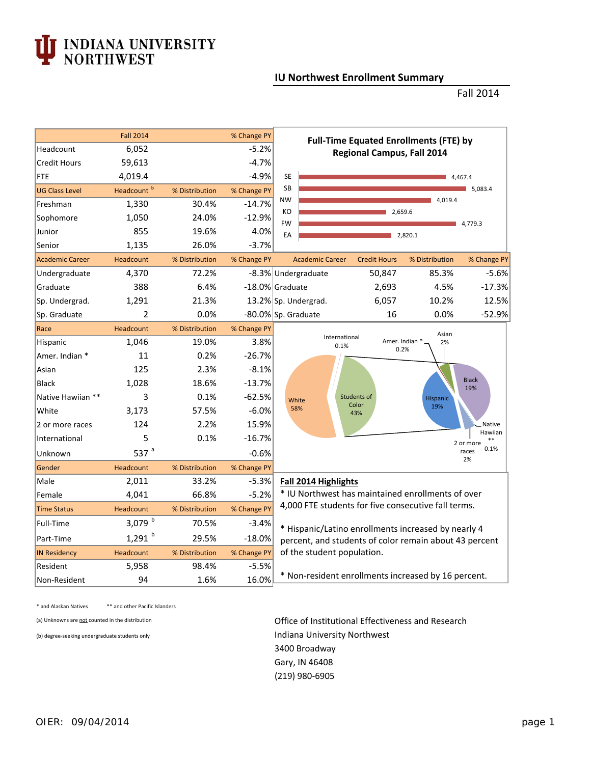## J INDIANA UNIVERSITY<br>NORTHWEST

## **IU Northwest Enrollment Summary**

Fall 2014

|                        | <b>Fall 2014</b>       |                | % Change PY | <b>Full-Time Equated Enrollments (FTE) by</b>                                                                                               |  |  |  |  |  |  |
|------------------------|------------------------|----------------|-------------|---------------------------------------------------------------------------------------------------------------------------------------------|--|--|--|--|--|--|
| Headcount              | 6,052                  | $-5.2%$        |             | <b>Regional Campus, Fall 2014</b>                                                                                                           |  |  |  |  |  |  |
| <b>Credit Hours</b>    | 59,613                 |                | $-4.7%$     |                                                                                                                                             |  |  |  |  |  |  |
| FTE                    | 4,019.4                |                | $-4.9%$     | <b>SE</b><br>4,467.4                                                                                                                        |  |  |  |  |  |  |
| <b>UG Class Level</b>  | Headcount <sup>b</sup> | % Distribution | % Change PY | <b>SB</b><br>5,083.4                                                                                                                        |  |  |  |  |  |  |
| Freshman               | 1,330                  | 30.4%          | $-14.7%$    | <b>NW</b><br>4,019.4                                                                                                                        |  |  |  |  |  |  |
| Sophomore              | 1,050                  | 24.0%          | $-12.9%$    | KO<br>2,659.6<br><b>FW</b><br>4,779.3                                                                                                       |  |  |  |  |  |  |
| Junior                 | 855                    | 19.6%          | 4.0%        | EA<br>2,820.1                                                                                                                               |  |  |  |  |  |  |
| Senior                 | 1,135                  | 26.0%          | $-3.7%$     |                                                                                                                                             |  |  |  |  |  |  |
| <b>Academic Career</b> | Headcount              | % Distribution | % Change PY | <b>Academic Career</b><br><b>Credit Hours</b><br>% Distribution<br>% Change PY                                                              |  |  |  |  |  |  |
| Undergraduate          | 4,370                  | 72.2%          |             | 50,847<br>85.3%<br>$-5.6%$<br>-8.3% Undergraduate                                                                                           |  |  |  |  |  |  |
| Graduate               | 388                    | 6.4%           |             | $-17.3%$<br>-18.0% Graduate<br>2,693<br>4.5%                                                                                                |  |  |  |  |  |  |
| Sp. Undergrad.         | 1,291                  | 21.3%          |             | 6,057<br>10.2%<br>12.5%<br>13.2% Sp. Undergrad.                                                                                             |  |  |  |  |  |  |
| Sp. Graduate           | 2                      | 0.0%           |             | 16<br>0.0%<br>$-52.9%$<br>-80.0% Sp. Graduate                                                                                               |  |  |  |  |  |  |
| Race                   | Headcount              | % Distribution | % Change PY | Asian                                                                                                                                       |  |  |  |  |  |  |
| <b>Hispanic</b>        | 1.046                  | 19.0%          | 3.8%        | International<br>Amer. Indian *<br>2%<br>0.1%<br>0.2%                                                                                       |  |  |  |  |  |  |
| Amer. Indian *         | 11                     | 0.2%           | $-26.7%$    |                                                                                                                                             |  |  |  |  |  |  |
| Asian                  | 125                    | 2.3%           | $-8.1%$     |                                                                                                                                             |  |  |  |  |  |  |
| <b>Black</b>           | 1,028                  | 18.6%          | $-13.7%$    | <b>Black</b><br>19%                                                                                                                         |  |  |  |  |  |  |
| Native Hawiian **      | 3                      | 0.1%           | $-62.5%$    | <b>Students of</b><br><b>Hispanic</b><br>White                                                                                              |  |  |  |  |  |  |
| White                  | 3,173                  | 57.5%          | $-6.0%$     | Color<br>19%<br>58%<br>43%                                                                                                                  |  |  |  |  |  |  |
| 2 or more races        | 124                    | 2.2%           | 15.9%       | <b>Native</b>                                                                                                                               |  |  |  |  |  |  |
| International          | 5                      | 0.1%           | $-16.7%$    | Hawiian<br>$**$<br>2 or more                                                                                                                |  |  |  |  |  |  |
| Unknown                | 537 $a$                |                | $-0.6%$     | 0.1%<br>races<br>2%                                                                                                                         |  |  |  |  |  |  |
| Gender                 | Headcount              | % Distribution | % Change PY |                                                                                                                                             |  |  |  |  |  |  |
| Male                   | 2,011                  | 33.2%          | $-5.3%$     | Fall 2014 Highlights                                                                                                                        |  |  |  |  |  |  |
| Female                 | 4,041                  | 66.8%          | $-5.2%$     | * IU Northwest has maintained enrollments of over                                                                                           |  |  |  |  |  |  |
| <b>Time Status</b>     | Headcount              | % Distribution | % Change PY | 4,000 FTE students for five consecutive fall terms.                                                                                         |  |  |  |  |  |  |
| Full-Time              | 3,079 $^{\rm b}$       | 70.5%          | $-3.4%$     | * Hispanic/Latino enrollments increased by nearly 4<br>percent, and students of color remain about 43 percent<br>of the student population. |  |  |  |  |  |  |
| Part-Time              | $1,291$ <sup>b</sup>   | 29.5%          | $-18.0%$    |                                                                                                                                             |  |  |  |  |  |  |
| <b>IN Residency</b>    | <b>Headcount</b>       | % Distribution | % Change PY |                                                                                                                                             |  |  |  |  |  |  |
| Resident               | 5,958                  | 98.4%          | $-5.5%$     |                                                                                                                                             |  |  |  |  |  |  |
| Non-Resident           | 94                     | 1.6%           | 16.0%       | * Non-resident enrollments increased by 16 percent.                                                                                         |  |  |  |  |  |  |

\* and Alaskan Natives \*\* and other Pacific Islanders

(a) Unknowns are not counted in the distribution **Office of Institutional Effectiveness and Research** (b) degree-seeking undergraduate students only Indiana University Northwest Gary, IN 46408 3400 Broadway (219) 980‐6905